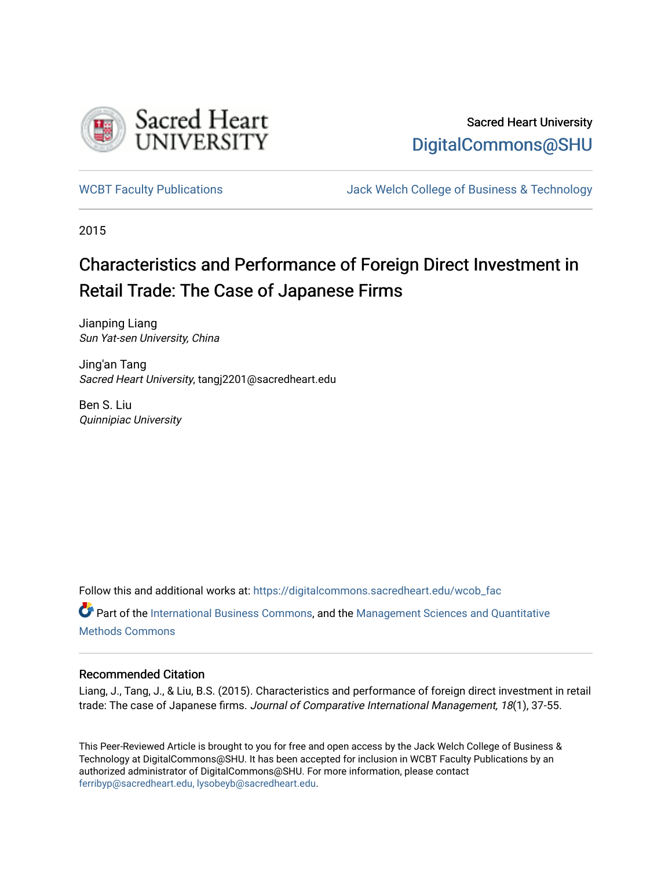

# Sacred Heart University [DigitalCommons@SHU](https://digitalcommons.sacredheart.edu/)

[WCBT Faculty Publications](https://digitalcommons.sacredheart.edu/wcob_fac) **MEGAL SERVINGS** Jack Welch College of Business & Technology

2015

# Characteristics and Performance of Foreign Direct Investment in Retail Trade: The Case of Japanese Firms

Jianping Liang Sun Yat-sen University, China

Jing'an Tang Sacred Heart University, tangj2201@sacredheart.edu

Ben S. Liu Quinnipiac University

Follow this and additional works at: [https://digitalcommons.sacredheart.edu/wcob\\_fac](https://digitalcommons.sacredheart.edu/wcob_fac?utm_source=digitalcommons.sacredheart.edu%2Fwcob_fac%2F490&utm_medium=PDF&utm_campaign=PDFCoverPages)

Part of the [International Business Commons,](http://network.bepress.com/hgg/discipline/634?utm_source=digitalcommons.sacredheart.edu%2Fwcob_fac%2F490&utm_medium=PDF&utm_campaign=PDFCoverPages) and the [Management Sciences and Quantitative](http://network.bepress.com/hgg/discipline/637?utm_source=digitalcommons.sacredheart.edu%2Fwcob_fac%2F490&utm_medium=PDF&utm_campaign=PDFCoverPages) [Methods Commons](http://network.bepress.com/hgg/discipline/637?utm_source=digitalcommons.sacredheart.edu%2Fwcob_fac%2F490&utm_medium=PDF&utm_campaign=PDFCoverPages) 

#### Recommended Citation

Liang, J., Tang, J., & Liu, B.S. (2015). Characteristics and performance of foreign direct investment in retail trade: The case of Japanese firms. Journal of Comparative International Management, 18(1), 37-55.

This Peer-Reviewed Article is brought to you for free and open access by the Jack Welch College of Business & Technology at DigitalCommons@SHU. It has been accepted for inclusion in WCBT Faculty Publications by an authorized administrator of DigitalCommons@SHU. For more information, please contact [ferribyp@sacredheart.edu, lysobeyb@sacredheart.edu.](mailto:ferribyp@sacredheart.edu,%20lysobeyb@sacredheart.edu)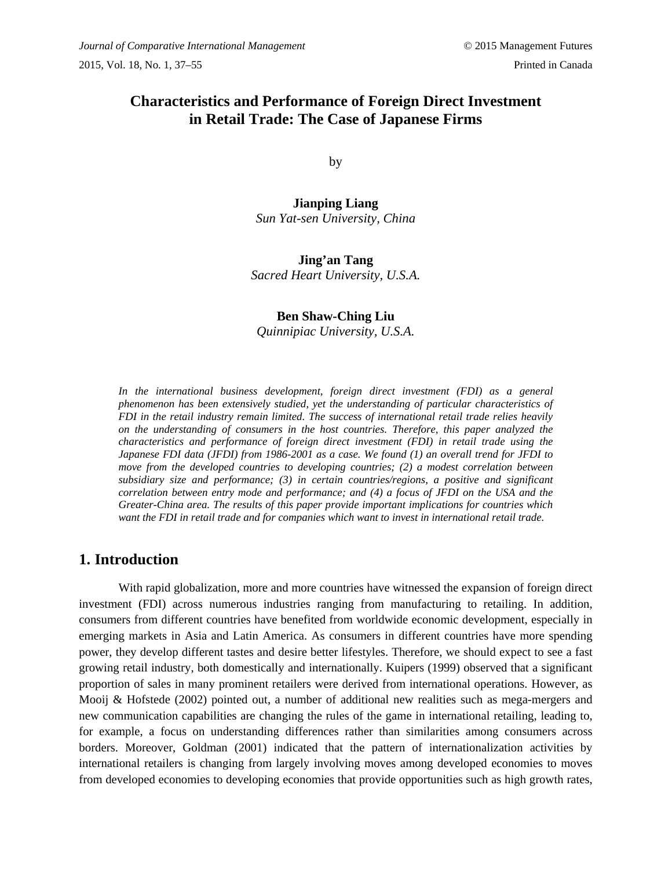# **Characteristics and Performance of Foreign Direct Investment in Retail Trade: The Case of Japanese Firms**

by

**Jianping Liang** *Sun Yat-sen University, China*

# **Jing'an Tang**

*Sacred Heart University, U.S.A.*

### **Ben Shaw-Ching Liu** *Quinnipiac University, U.S.A.*

In the international business development, foreign direct investment (FDI) as a general *phenomenon has been extensively studied, yet the understanding of particular characteristics of FDI in the retail industry remain limited. The success of international retail trade relies heavily on the understanding of consumers in the host countries. Therefore, this paper analyzed the characteristics and performance of foreign direct investment (FDI) in retail trade using the Japanese FDI data (JFDI) from 1986-2001 as a case. We found (1) an overall trend for JFDI to move from the developed countries to developing countries; (2) a modest correlation between subsidiary size and performance; (3) in certain countries/regions, a positive and significant correlation between entry mode and performance; and (4) a focus of JFDI on the USA and the Greater-China area. The results of this paper provide important implications for countries which want the FDI in retail trade and for companies which want to invest in international retail trade.*

### **1. Introduction**

With rapid globalization, more and more countries have witnessed the expansion of foreign direct investment (FDI) across numerous industries ranging from manufacturing to retailing. In addition, consumers from different countries have benefited from worldwide economic development, especially in emerging markets in Asia and Latin America. As consumers in different countries have more spending power, they develop different tastes and desire better lifestyles. Therefore, we should expect to see a fast growing retail industry, both domestically and internationally. Kuipers (1999) observed that a significant proportion of sales in many prominent retailers were derived from international operations. However, as Mooij & Hofstede (2002) pointed out, a number of additional new realities such as mega-mergers and new communication capabilities are changing the rules of the game in international retailing, leading to, for example, a focus on understanding differences rather than similarities among consumers across borders. Moreover, Goldman (2001) indicated that the pattern of internationalization activities by international retailers is changing from largely involving moves among developed economies to moves from developed economies to developing economies that provide opportunities such as high growth rates,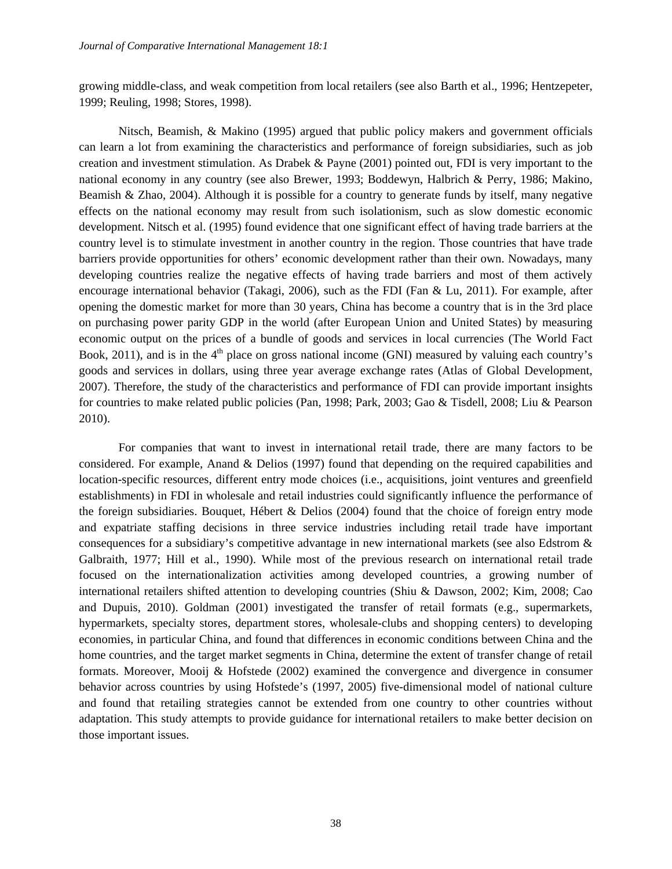growing middle-class, and weak competition from local retailers (see also Barth et al., 1996; Hentzepeter, 1999; Reuling, 1998; Stores, 1998).

Nitsch, Beamish, & Makino (1995) argued that public policy makers and government officials can learn a lot from examining the characteristics and performance of foreign subsidiaries, such as job creation and investment stimulation. As Drabek & Payne (2001) pointed out, FDI is very important to the national economy in any country (see also Brewer, 1993; Boddewyn, Halbrich & Perry, 1986; Makino, Beamish & Zhao, 2004). Although it is possible for a country to generate funds by itself, many negative effects on the national economy may result from such isolationism, such as slow domestic economic development. Nitsch et al. (1995) found evidence that one significant effect of having trade barriers at the country level is to stimulate investment in another country in the region. Those countries that have trade barriers provide opportunities for others' economic development rather than their own. Nowadays, many developing countries realize the negative effects of having trade barriers and most of them actively encourage international behavior (Takagi, 2006), such as the FDI (Fan & Lu, 2011). For example, after opening the domestic market for more than 30 years, China has become a country that is in the 3rd place on purchasing power parity GDP in the world (after European Union and United States) by measuring economic output on the prices of a bundle of goods and services in local currencies (The World Fact Book, 2011), and is in the  $4<sup>th</sup>$  place on gross national income (GNI) measured by valuing each country's goods and services in dollars, using three year average exchange rates (Atlas of Global Development, 2007). Therefore, the study of the characteristics and performance of FDI can provide important insights for countries to make related public policies (Pan, 1998; Park, 2003; Gao & Tisdell, 2008; Liu & Pearson 2010).

For companies that want to invest in international retail trade, there are many factors to be considered. For example, Anand & Delios (1997) found that depending on the required capabilities and location-specific resources, different entry mode choices (i.e., acquisitions, joint ventures and greenfield establishments) in FDI in wholesale and retail industries could significantly influence the performance of the foreign subsidiaries. Bouquet, Hébert & Delios (2004) found that the choice of foreign entry mode and expatriate staffing decisions in three service industries including retail trade have important consequences for a subsidiary's competitive advantage in new international markets (see also Edstrom & Galbraith, 1977; Hill et al., 1990). While most of the previous research on international retail trade focused on the internationalization activities among developed countries, a growing number of international retailers shifted attention to developing countries (Shiu & Dawson, 2002; Kim, 2008; Cao and Dupuis, 2010). Goldman (2001) investigated the transfer of retail formats (e.g., supermarkets, hypermarkets, specialty stores, department stores, wholesale-clubs and shopping centers) to developing economies, in particular China, and found that differences in economic conditions between China and the home countries, and the target market segments in China, determine the extent of transfer change of retail formats. Moreover, Mooij & Hofstede (2002) examined the convergence and divergence in consumer behavior across countries by using Hofstede's (1997, 2005) five-dimensional model of national culture and found that retailing strategies cannot be extended from one country to other countries without adaptation. This study attempts to provide guidance for international retailers to make better decision on those important issues.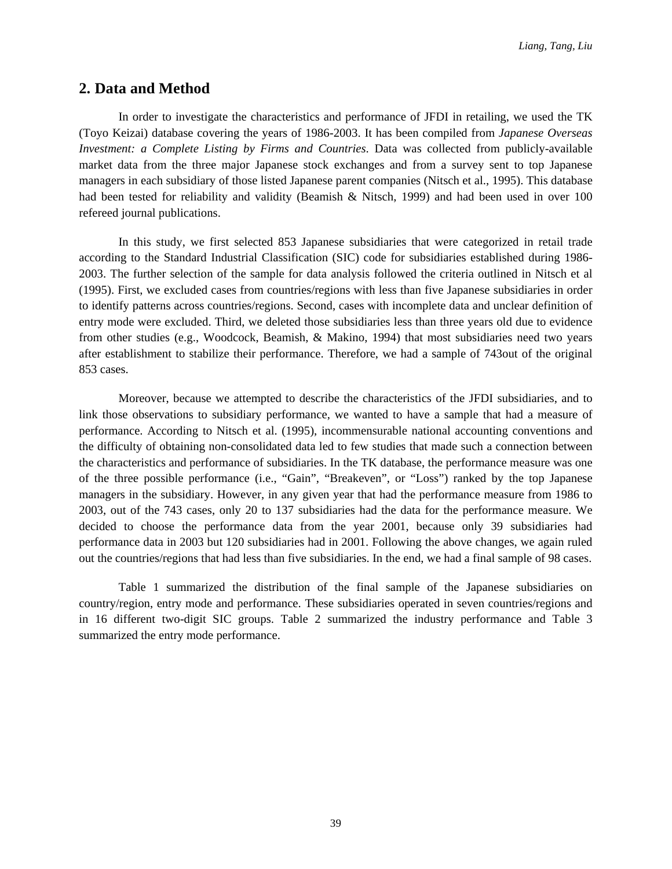### **2. Data and Method**

In order to investigate the characteristics and performance of JFDI in retailing, we used the TK (Toyo Keizai) database covering the years of 1986-2003. It has been compiled from *Japanese Overseas Investment: a Complete Listing by Firms and Countries*. Data was collected from publicly-available market data from the three major Japanese stock exchanges and from a survey sent to top Japanese managers in each subsidiary of those listed Japanese parent companies (Nitsch et al., 1995). This database had been tested for reliability and validity (Beamish & Nitsch, 1999) and had been used in over 100 refereed journal publications.

In this study, we first selected 853 Japanese subsidiaries that were categorized in retail trade according to the Standard Industrial Classification (SIC) code for subsidiaries established during 1986- 2003. The further selection of the sample for data analysis followed the criteria outlined in Nitsch et al (1995). First, we excluded cases from countries/regions with less than five Japanese subsidiaries in order to identify patterns across countries/regions. Second, cases with incomplete data and unclear definition of entry mode were excluded. Third, we deleted those subsidiaries less than three years old due to evidence from other studies (e.g., Woodcock, Beamish, & Makino, 1994) that most subsidiaries need two years after establishment to stabilize their performance. Therefore, we had a sample of 743out of the original 853 cases.

Moreover, because we attempted to describe the characteristics of the JFDI subsidiaries, and to link those observations to subsidiary performance, we wanted to have a sample that had a measure of performance. According to Nitsch et al. (1995), incommensurable national accounting conventions and the difficulty of obtaining non-consolidated data led to few studies that made such a connection between the characteristics and performance of subsidiaries. In the TK database, the performance measure was one of the three possible performance (i.e., "Gain", "Breakeven", or "Loss") ranked by the top Japanese managers in the subsidiary. However, in any given year that had the performance measure from 1986 to 2003, out of the 743 cases, only 20 to 137 subsidiaries had the data for the performance measure. We decided to choose the performance data from the year 2001, because only 39 subsidiaries had performance data in 2003 but 120 subsidiaries had in 2001. Following the above changes, we again ruled out the countries/regions that had less than five subsidiaries. In the end, we had a final sample of 98 cases.

Table 1 summarized the distribution of the final sample of the Japanese subsidiaries on country/region, entry mode and performance. These subsidiaries operated in seven countries/regions and in 16 different two-digit SIC groups. Table 2 summarized the industry performance and Table 3 summarized the entry mode performance.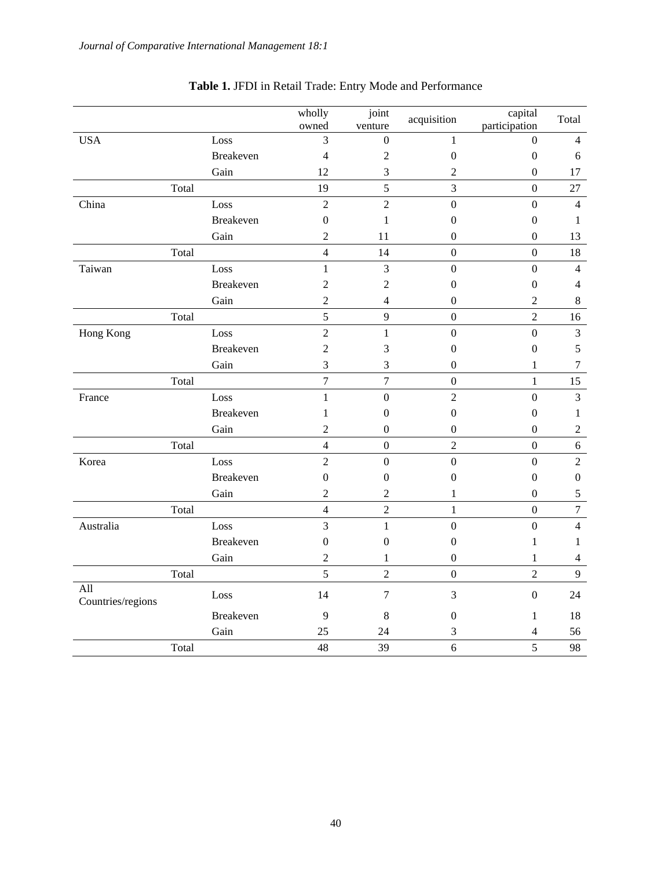|                          |       |                  | wholly<br>owned  | joint<br>venture | acquisition      | capital<br>participation | Total            |
|--------------------------|-------|------------------|------------------|------------------|------------------|--------------------------|------------------|
| <b>USA</b>               |       | Loss             | 3                | $\mathbf{0}$     | 1                | $\mathbf{0}$             | $\overline{4}$   |
|                          |       | Breakeven        | $\overline{4}$   | $\overline{c}$   | $\boldsymbol{0}$ | $\boldsymbol{0}$         | 6                |
|                          |       | Gain             | 12               | 3                | $\boldsymbol{2}$ | $\boldsymbol{0}$         | 17               |
|                          | Total |                  | 19               | 5                | 3                | $\boldsymbol{0}$         | 27               |
| China                    |       | Loss             | $\overline{2}$   | $\overline{2}$   | $\boldsymbol{0}$ | $\boldsymbol{0}$         | $\overline{4}$   |
|                          |       | <b>Breakeven</b> | $\boldsymbol{0}$ | $\mathbf{1}$     | $\boldsymbol{0}$ | $\boldsymbol{0}$         | $\mathbf{1}$     |
|                          |       | Gain             | $\overline{2}$   | 11               | $\overline{0}$   | $\boldsymbol{0}$         | 13               |
|                          | Total |                  | $\overline{4}$   | 14               | $\overline{0}$   | $\overline{0}$           | 18               |
| Taiwan                   |       | Loss             | $\mathbf{1}$     | $\mathfrak{Z}$   | $\overline{0}$   | $\mathbf{0}$             | $\overline{4}$   |
|                          |       | <b>Breakeven</b> | $\overline{c}$   | $\mathbf{2}$     | $\boldsymbol{0}$ | $\boldsymbol{0}$         | $\overline{4}$   |
|                          |       | Gain             | $\overline{2}$   | $\overline{4}$   | $\boldsymbol{0}$ | $\sqrt{2}$               | $\,8\,$          |
|                          | Total |                  | 5                | 9                | $\boldsymbol{0}$ | $\overline{2}$           | 16               |
| Hong Kong                |       | Loss             | $\overline{2}$   | $\mathbf{1}$     | $\boldsymbol{0}$ | $\boldsymbol{0}$         | 3                |
|                          |       | <b>Breakeven</b> | $\overline{c}$   | 3                | $\boldsymbol{0}$ | $\boldsymbol{0}$         | 5                |
|                          |       | Gain             | 3                | 3                | $\overline{0}$   | 1                        | $\tau$           |
|                          | Total |                  | $\boldsymbol{7}$ | $\boldsymbol{7}$ | $\boldsymbol{0}$ | $\mathbf{1}$             | 15               |
| France                   |       | Loss             | $\mathbf{1}$     | $\boldsymbol{0}$ | $\overline{2}$   | $\boldsymbol{0}$         | $\overline{3}$   |
|                          |       | Breakeven        | 1                | 0                | $\boldsymbol{0}$ | $\boldsymbol{0}$         | $\mathbf{1}$     |
|                          |       | Gain             | $\overline{c}$   | $\mathbf{0}$     | $\boldsymbol{0}$ | $\boldsymbol{0}$         | $\sqrt{2}$       |
|                          | Total |                  | $\overline{4}$   | $\mathbf{0}$     | $\overline{2}$   | $\overline{0}$           | $\sqrt{6}$       |
| Korea                    |       | Loss             | $\overline{2}$   | $\boldsymbol{0}$ | $\boldsymbol{0}$ | $\boldsymbol{0}$         | $\overline{2}$   |
|                          |       | <b>Breakeven</b> | $\boldsymbol{0}$ | $\boldsymbol{0}$ | $\boldsymbol{0}$ | $\boldsymbol{0}$         | $\boldsymbol{0}$ |
|                          |       | Gain             | $\overline{2}$   | $\overline{2}$   | $\mathbf{1}$     | $\boldsymbol{0}$         | $\sqrt{5}$       |
|                          | Total |                  | $\overline{4}$   | $\overline{2}$   | $\mathbf{1}$     | $\overline{0}$           | $\boldsymbol{7}$ |
| Australia                |       | Loss             | $\overline{3}$   | $\mathbf{1}$     | $\overline{0}$   | $\overline{0}$           | $\overline{4}$   |
|                          |       | <b>Breakeven</b> | $\overline{0}$   | $\mathbf{0}$     | $\boldsymbol{0}$ | 1                        | 1                |
|                          |       | Gain             | $\overline{c}$   | 1                | $\boldsymbol{0}$ | 1                        | $\overline{4}$   |
|                          | Total |                  | 5                | $\overline{2}$   | $\overline{0}$   | $\overline{2}$           | 9                |
| All<br>Countries/regions |       | Loss             | 14               | $\overline{7}$   | 3                | $\boldsymbol{0}$         | 24               |
|                          |       | <b>Breakeven</b> | 9                | 8                | 0                | 1                        | 18               |
|                          |       | Gain             | 25               | 24               | 3                | 4                        | 56               |
|                          | Total |                  | 48               | 39               | 6                | 5                        | 98               |

# **Table 1.** JFDI in Retail Trade: Entry Mode and Performance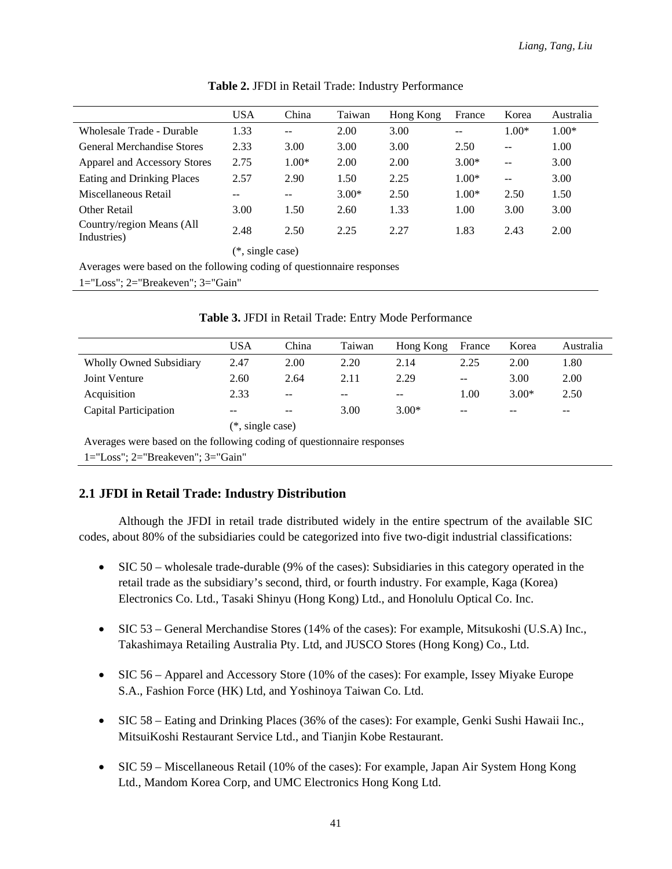|                                          | <b>USA</b>       | China   | Taiwan  | Hong Kong | France  | Korea         | Australia |  |  |
|------------------------------------------|------------------|---------|---------|-----------|---------|---------------|-----------|--|--|
| Wholesale Trade - Durable                | 1.33             | $-$     | 2.00    | 3.00      | $- -$   | $1.00*$       | $1.00*$   |  |  |
| <b>General Merchandise Stores</b>        | 2.33             | 3.00    | 3.00    | 3.00      | 2.50    | $-$           | 1.00      |  |  |
| Apparel and Accessory Stores             | 2.75             | $1.00*$ | 2.00    | 2.00      | $3.00*$ | $- -$         | 3.00      |  |  |
| Eating and Drinking Places               | 2.57             | 2.90    | 1.50    | 2.25      | $1.00*$ | $\sim$ $\sim$ | 3.00      |  |  |
| Miscellaneous Retail                     |                  | $- -$   | $3.00*$ | 2.50      | $1.00*$ | 2.50          | 1.50      |  |  |
| Other Retail                             | 3.00             | 1.50    | 2.60    | 1.33      | 1.00    | 3.00          | 3.00      |  |  |
| Country/region Means (All<br>Industries) | 2.48             | 2.50    | 2.25    | 2.27      | 1.83    | 2.43          | 2.00      |  |  |
|                                          | (*. single case) |         |         |           |         |               |           |  |  |

**Table 2.** JFDI in Retail Trade: Industry Performance

Averages were based on the following coding of questionnaire responses

1="Loss"; 2="Breakeven"; 3="Gain"

|                                | <b>USA</b> | China                    | Taiwan            | Hong Kong | France            | Korea   | Australia |  |  |
|--------------------------------|------------|--------------------------|-------------------|-----------|-------------------|---------|-----------|--|--|
| <b>Wholly Owned Subsidiary</b> | 2.47       | 2.00                     | 2.20              | 2.14      | 2.25              | 2.00    | 1.80      |  |  |
| Joint Venture                  | 2.60       | 2.64                     | 2.11              | 2.29      | $- -$             | 3.00    | 2.00      |  |  |
| Acquisition                    | 2.33       | $- -$                    | $\qquad \qquad -$ | $- -$     | 1.00              | $3.00*$ | 2.50      |  |  |
| Capital Participation          | $- -$      | $\overline{\phantom{m}}$ | 3.00              | $3.00*$   | $\qquad \qquad -$ | --      | $- -$     |  |  |
| $(*, single case)$             |            |                          |                   |           |                   |         |           |  |  |

**Table 3.** JFDI in Retail Trade: Entry Mode Performance

Averages were based on the following coding of questionnaire responses

1="Loss"; 2="Breakeven"; 3="Gain"

### **2.1 JFDI in Retail Trade: Industry Distribution**

Although the JFDI in retail trade distributed widely in the entire spectrum of the available SIC codes, about 80% of the subsidiaries could be categorized into five two-digit industrial classifications:

- SIC 50 wholesale trade-durable (9% of the cases): Subsidiaries in this category operated in the retail trade as the subsidiary's second, third, or fourth industry. For example, Kaga (Korea) Electronics Co. Ltd., Tasaki Shinyu (Hong Kong) Ltd., and Honolulu Optical Co. Inc.
- SIC 53 General Merchandise Stores (14% of the cases): For example, Mitsukoshi (U.S.A) Inc., Takashimaya Retailing Australia Pty. Ltd, and JUSCO Stores (Hong Kong) Co., Ltd.
- SIC 56 Apparel and Accessory Store (10% of the cases): For example, Issey Miyake Europe S.A., Fashion Force (HK) Ltd, and Yoshinoya Taiwan Co. Ltd.
- SIC 58 Eating and Drinking Places (36% of the cases): For example, Genki Sushi Hawaii Inc., MitsuiKoshi Restaurant Service Ltd., and Tianjin Kobe Restaurant.
- SIC 59 Miscellaneous Retail (10% of the cases): For example, Japan Air System Hong Kong Ltd., Mandom Korea Corp, and UMC Electronics Hong Kong Ltd.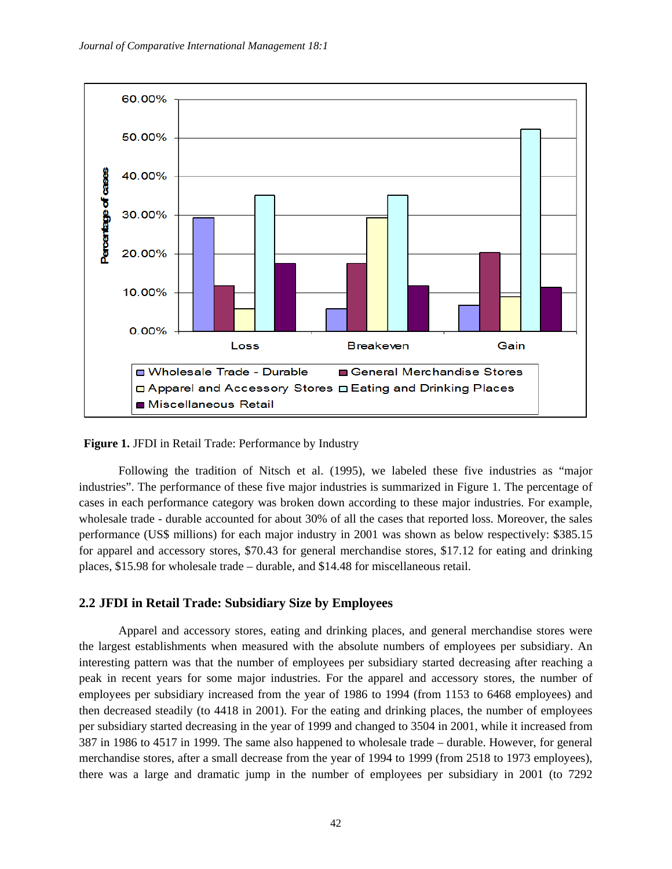

#### **Figure 1.** JFDI in Retail Trade: Performance by Industry

Following the tradition of Nitsch et al. (1995), we labeled these five industries as "major industries". The performance of these five major industries is summarized in Figure 1. The percentage of cases in each performance category was broken down according to these major industries. For example, wholesale trade - durable accounted for about 30% of all the cases that reported loss. Moreover, the sales performance (US\$ millions) for each major industry in 2001 was shown as below respectively: \$385.15 for apparel and accessory stores, \$70.43 for general merchandise stores, \$17.12 for eating and drinking places, \$15.98 for wholesale trade – durable, and \$14.48 for miscellaneous retail.

#### **2.2 JFDI in Retail Trade: Subsidiary Size by Employees**

Apparel and accessory stores, eating and drinking places, and general merchandise stores were the largest establishments when measured with the absolute numbers of employees per subsidiary. An interesting pattern was that the number of employees per subsidiary started decreasing after reaching a peak in recent years for some major industries. For the apparel and accessory stores, the number of employees per subsidiary increased from the year of 1986 to 1994 (from 1153 to 6468 employees) and then decreased steadily (to 4418 in 2001). For the eating and drinking places, the number of employees per subsidiary started decreasing in the year of 1999 and changed to 3504 in 2001, while it increased from 387 in 1986 to 4517 in 1999. The same also happened to wholesale trade – durable. However, for general merchandise stores, after a small decrease from the year of 1994 to 1999 (from 2518 to 1973 employees), there was a large and dramatic jump in the number of employees per subsidiary in 2001 (to 7292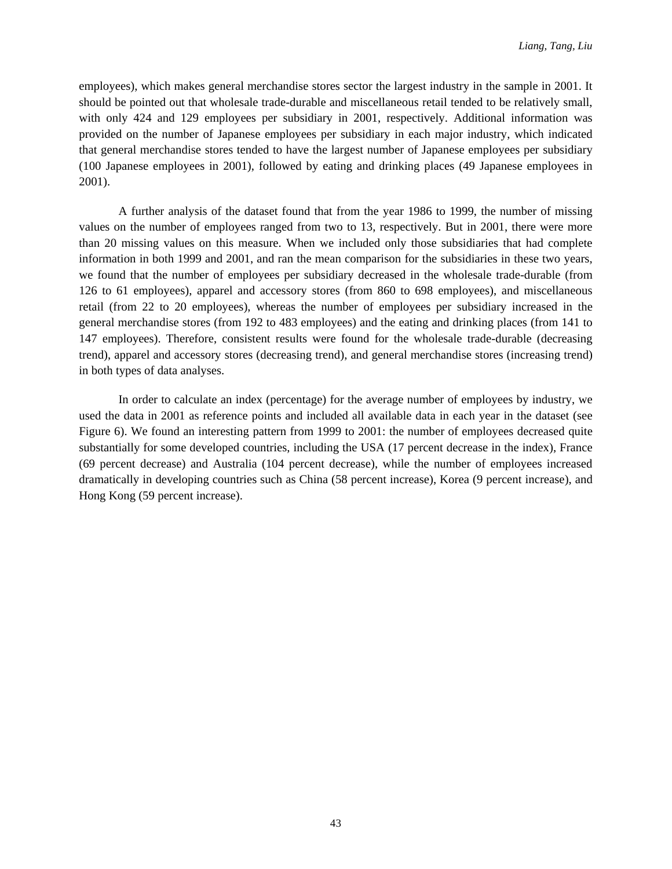employees), which makes general merchandise stores sector the largest industry in the sample in 2001. It should be pointed out that wholesale trade-durable and miscellaneous retail tended to be relatively small, with only 424 and 129 employees per subsidiary in 2001, respectively. Additional information was provided on the number of Japanese employees per subsidiary in each major industry, which indicated that general merchandise stores tended to have the largest number of Japanese employees per subsidiary (100 Japanese employees in 2001), followed by eating and drinking places (49 Japanese employees in 2001).

A further analysis of the dataset found that from the year 1986 to 1999, the number of missing values on the number of employees ranged from two to 13, respectively. But in 2001, there were more than 20 missing values on this measure. When we included only those subsidiaries that had complete information in both 1999 and 2001, and ran the mean comparison for the subsidiaries in these two years, we found that the number of employees per subsidiary decreased in the wholesale trade-durable (from 126 to 61 employees), apparel and accessory stores (from 860 to 698 employees), and miscellaneous retail (from 22 to 20 employees), whereas the number of employees per subsidiary increased in the general merchandise stores (from 192 to 483 employees) and the eating and drinking places (from 141 to 147 employees). Therefore, consistent results were found for the wholesale trade-durable (decreasing trend), apparel and accessory stores (decreasing trend), and general merchandise stores (increasing trend) in both types of data analyses.

In order to calculate an index (percentage) for the average number of employees by industry, we used the data in 2001 as reference points and included all available data in each year in the dataset (see Figure 6). We found an interesting pattern from 1999 to 2001: the number of employees decreased quite substantially for some developed countries, including the USA (17 percent decrease in the index), France (69 percent decrease) and Australia (104 percent decrease), while the number of employees increased dramatically in developing countries such as China (58 percent increase), Korea (9 percent increase), and Hong Kong (59 percent increase).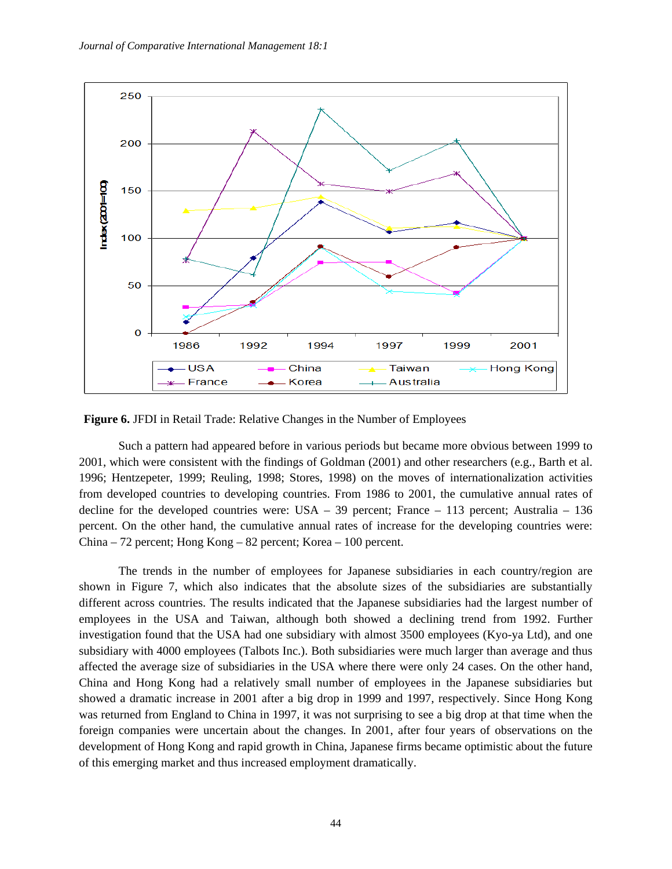

**Figure 6.** JFDI in Retail Trade: Relative Changes in the Number of Employees

Such a pattern had appeared before in various periods but became more obvious between 1999 to 2001, which were consistent with the findings of Goldman (2001) and other researchers (e.g., Barth et al. 1996; Hentzepeter, 1999; Reuling, 1998; Stores, 1998) on the moves of internationalization activities from developed countries to developing countries. From 1986 to 2001, the cumulative annual rates of decline for the developed countries were: USA – 39 percent; France – 113 percent; Australia – 136 percent. On the other hand, the cumulative annual rates of increase for the developing countries were: China – 72 percent; Hong Kong – 82 percent; Korea – 100 percent.

The trends in the number of employees for Japanese subsidiaries in each country/region are shown in Figure 7, which also indicates that the absolute sizes of the subsidiaries are substantially different across countries. The results indicated that the Japanese subsidiaries had the largest number of employees in the USA and Taiwan, although both showed a declining trend from 1992. Further investigation found that the USA had one subsidiary with almost 3500 employees (Kyo-ya Ltd), and one subsidiary with 4000 employees (Talbots Inc.). Both subsidiaries were much larger than average and thus affected the average size of subsidiaries in the USA where there were only 24 cases. On the other hand, China and Hong Kong had a relatively small number of employees in the Japanese subsidiaries but showed a dramatic increase in 2001 after a big drop in 1999 and 1997, respectively. Since Hong Kong was returned from England to China in 1997, it was not surprising to see a big drop at that time when the foreign companies were uncertain about the changes. In 2001, after four years of observations on the development of Hong Kong and rapid growth in China, Japanese firms became optimistic about the future of this emerging market and thus increased employment dramatically.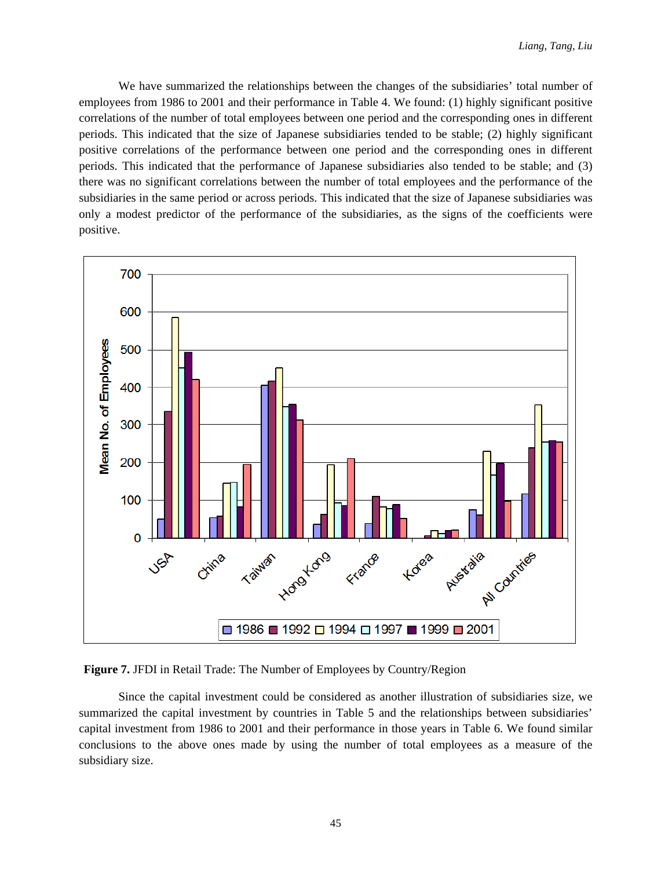We have summarized the relationships between the changes of the subsidiaries' total number of employees from 1986 to 2001 and their performance in Table 4. We found: (1) highly significant positive correlations of the number of total employees between one period and the corresponding ones in different periods. This indicated that the size of Japanese subsidiaries tended to be stable; (2) highly significant positive correlations of the performance between one period and the corresponding ones in different periods. This indicated that the performance of Japanese subsidiaries also tended to be stable; and (3) there was no significant correlations between the number of total employees and the performance of the subsidiaries in the same period or across periods. This indicated that the size of Japanese subsidiaries was only a modest predictor of the performance of the subsidiaries, as the signs of the coefficients were positive.



**Figure 7.** JFDI in Retail Trade: The Number of Employees by Country/Region

Since the capital investment could be considered as another illustration of subsidiaries size, we summarized the capital investment by countries in Table 5 and the relationships between subsidiaries' capital investment from 1986 to 2001 and their performance in those years in Table 6. We found similar conclusions to the above ones made by using the number of total employees as a measure of the subsidiary size.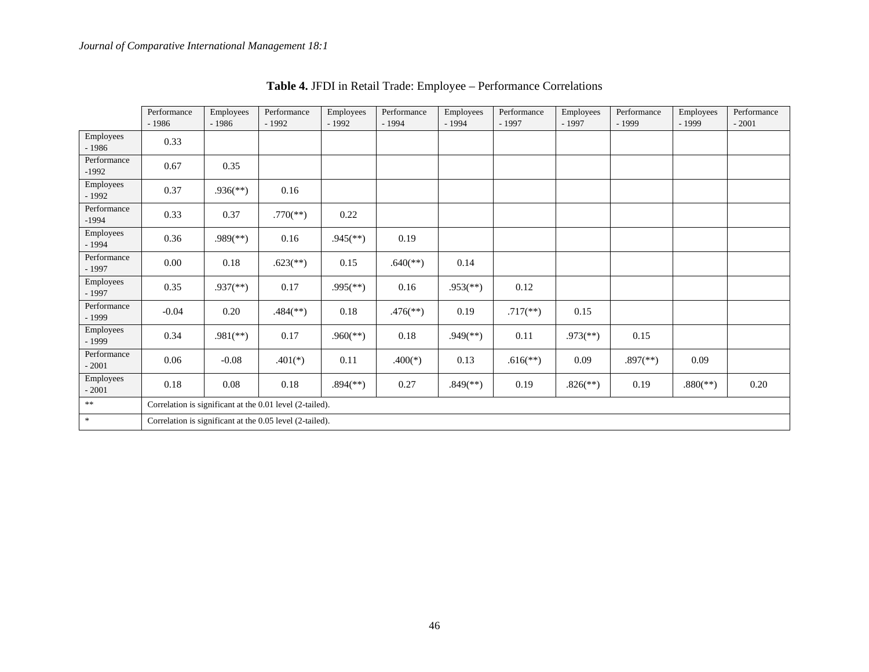|                        | Performance<br>$-1986$ | Employees<br>$-1986$                                     | Performance<br>$-1992$                                   | Employees<br>$-1992$     | Performance<br>$-1994$   | Employees<br>$-1994$     | Performance<br>$-1997$ | Employees<br>$-1997$     | Performance<br>$-1999$   | Employees<br>$-1999$     | Performance<br>$-2001$ |
|------------------------|------------------------|----------------------------------------------------------|----------------------------------------------------------|--------------------------|--------------------------|--------------------------|------------------------|--------------------------|--------------------------|--------------------------|------------------------|
| Employees<br>$-1986$   | 0.33                   |                                                          |                                                          |                          |                          |                          |                        |                          |                          |                          |                        |
| Performance<br>$-1992$ | 0.67                   | 0.35                                                     |                                                          |                          |                          |                          |                        |                          |                          |                          |                        |
| Employees<br>$-1992$   | 0.37                   | $.936$ <sup>(**)</sup> )                                 | 0.16                                                     |                          |                          |                          |                        |                          |                          |                          |                        |
| Performance<br>$-1994$ | 0.33                   | 0.37                                                     | $.770$ <sup>(**)</sup> )                                 | 0.22                     |                          |                          |                        |                          |                          |                          |                        |
| Employees<br>$-1994$   | 0.36                   | $.989$ <sup>(**)</sup> )                                 | 0.16                                                     | $.945$ <sup>(**)</sup> ) | 0.19                     |                          |                        |                          |                          |                          |                        |
| Performance<br>$-1997$ | 0.00                   | 0.18                                                     | $.623$ <sup>**</sup> )                                   | 0.15                     | $.640$ <sup>(**)</sup> ) | 0.14                     |                        |                          |                          |                          |                        |
| Employees<br>$-1997$   | 0.35                   | $.937$ <sup>(**)</sup> )                                 | 0.17                                                     | $.995$ <sup>(**)</sup> ) | 0.16                     | $.953$ <sup>(**)</sup> ) | 0.12                   |                          |                          |                          |                        |
| Performance<br>$-1999$ | $-0.04$                | 0.20                                                     | $.484$ <sup>(**)</sup> )                                 | 0.18                     | $.476$ <sup>(**)</sup> ) | 0.19                     | $.717$ <sup>**</sup> ) | 0.15                     |                          |                          |                        |
| Employees<br>$-1999$   | 0.34                   | $.981$ <sup>(**)</sup> )                                 | 0.17                                                     | $.960$ <sup>(**)</sup> ) | 0.18                     | $.949$ <sup>(**)</sup> ) | 0.11                   | $.973$ <sup>(**)</sup> ) | 0.15                     |                          |                        |
| Performance<br>$-2001$ | 0.06                   | $-0.08$                                                  | $.401(*)$                                                | 0.11                     | $.400(*)$                | 0.13                     | $.616$ <sup>**</sup> ) | 0.09                     | $.897$ <sup>(**)</sup> ) | 0.09                     |                        |
| Employees<br>$-2001$   | 0.18                   | 0.08                                                     | $0.18\,$                                                 | $.894$ <sup>(**)</sup> ) | 0.27                     | $.849$ <sup>(**)</sup> ) | 0.19                   | $.826$ <sup>(**)</sup> ) | 0.19                     | $.880$ <sup>(**)</sup> ) | 0.20                   |
| $\ast$ $\ast$          |                        |                                                          | Correlation is significant at the 0.01 level (2-tailed). |                          |                          |                          |                        |                          |                          |                          |                        |
| $\ast$                 |                        | Correlation is significant at the 0.05 level (2-tailed). |                                                          |                          |                          |                          |                        |                          |                          |                          |                        |

**Table 4.** JFDI in Retail Trade: Employee – Performance Correlations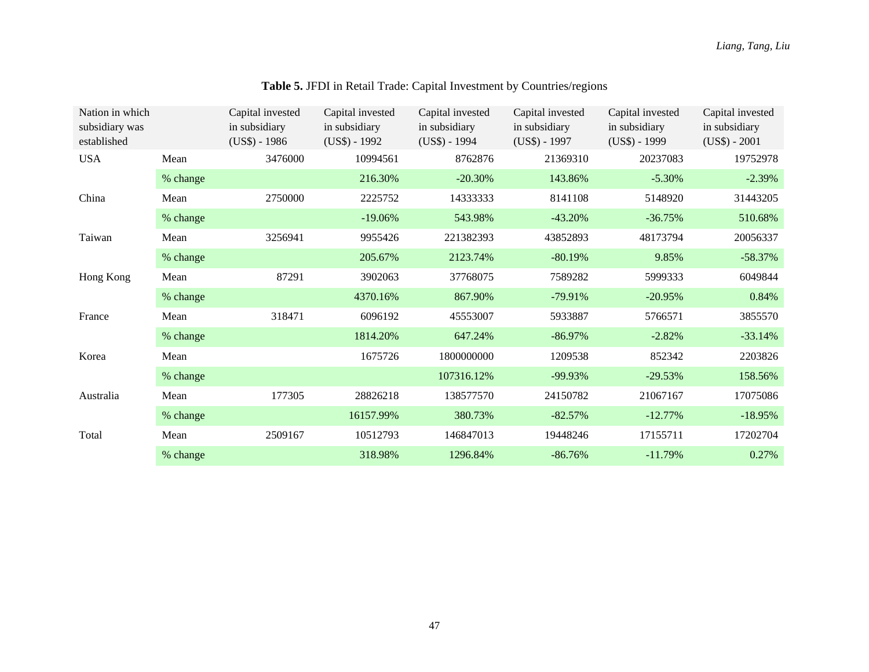| Nation in which<br>subsidiary was<br>established |                 | Capital invested<br>in subsidiary<br>$(US$) - 1986$ | Capital invested<br>in subsidiary<br>$(US$) - 1992$ | Capital invested<br>in subsidiary<br>$(US$) - 1994$ | Capital invested<br>in subsidiary<br>$(US$) - 1997$ | Capital invested<br>in subsidiary<br>$(US$) - 1999$ | Capital invested<br>in subsidiary<br>$(US$) - 2001$ |
|--------------------------------------------------|-----------------|-----------------------------------------------------|-----------------------------------------------------|-----------------------------------------------------|-----------------------------------------------------|-----------------------------------------------------|-----------------------------------------------------|
| <b>USA</b>                                       | 3476000<br>Mean |                                                     | 10994561                                            | 8762876                                             | 21369310                                            | 20237083                                            | 19752978                                            |
|                                                  | % change        |                                                     | 216.30%                                             | $-20.30%$                                           | 143.86%                                             | $-5.30%$                                            | $-2.39%$                                            |
| China                                            | Mean            | 2750000                                             | 2225752                                             | 14333333                                            | 8141108                                             | 5148920                                             | 31443205                                            |
|                                                  | % change        |                                                     | $-19.06%$                                           | 543.98%                                             | $-43.20%$                                           | $-36.75%$                                           | 510.68%                                             |
| Taiwan                                           | Mean            | 3256941                                             | 9955426                                             | 221382393                                           | 43852893                                            | 48173794                                            | 20056337                                            |
|                                                  | % change        |                                                     | 205.67%                                             | 2123.74%                                            | $-80.19%$                                           | 9.85%                                               | $-58.37%$                                           |
| Hong Kong                                        | Mean            | 87291                                               | 3902063                                             | 37768075                                            | 7589282                                             | 5999333                                             | 6049844                                             |
|                                                  | % change        |                                                     | 4370.16%                                            | 867.90%                                             | $-79.91%$                                           | $-20.95%$                                           | 0.84%                                               |
| France                                           | Mean            | 318471                                              | 6096192                                             | 45553007                                            | 5933887                                             | 5766571                                             | 3855570                                             |
|                                                  | % change        |                                                     | 1814.20%                                            | 647.24%                                             | $-86.97%$                                           | $-2.82%$                                            | $-33.14%$                                           |
| Korea                                            | Mean            |                                                     | 1675726                                             | 1800000000                                          | 1209538                                             | 852342                                              | 2203826                                             |
|                                                  | % change        |                                                     |                                                     | 107316.12%                                          | $-99.93\%$                                          | $-29.53%$                                           | 158.56%                                             |
| Australia                                        | Mean            | 177305                                              | 28826218                                            | 138577570                                           | 24150782                                            | 21067167                                            | 17075086                                            |
|                                                  | % change        |                                                     | 16157.99%                                           | 380.73%                                             | $-82.57%$                                           | $-12.77%$                                           | $-18.95%$                                           |
| Total                                            | Mean            | 2509167                                             | 10512793                                            | 146847013                                           | 19448246                                            | 17155711                                            | 17202704                                            |
|                                                  | % change        |                                                     | 318.98%                                             | 1296.84%                                            | $-86.76%$                                           | $-11.79%$                                           | 0.27%                                               |

# **Table 5.** JFDI in Retail Trade: Capital Investment by Countries/regions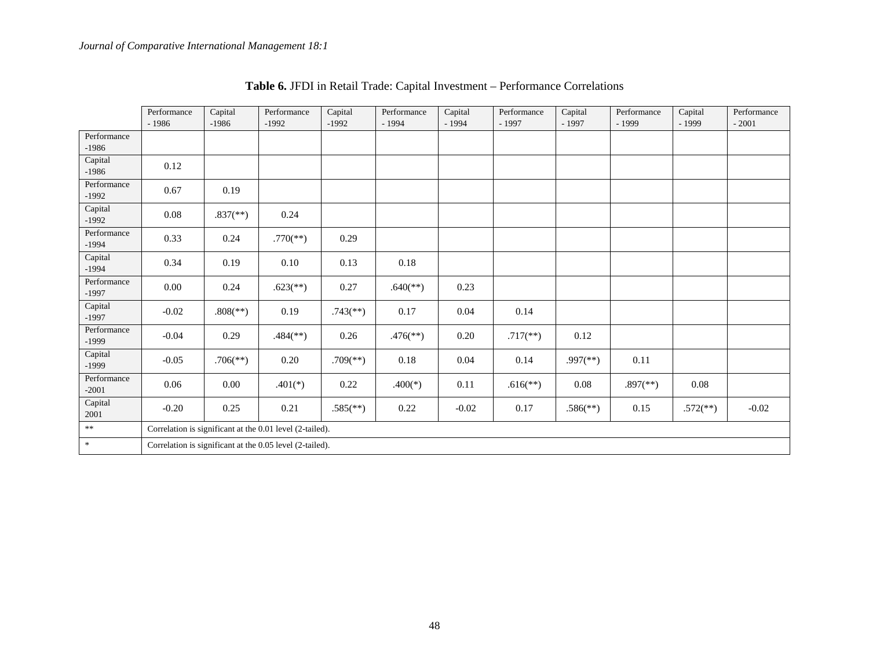|                        | Performance<br>$-1986$ | Capital<br>$-1986$       | Performance<br>$-1992$                                   | Capital<br>$-1992$       | Performance<br>$-1994$   | Capital<br>$-1994$ | Performance<br>$-1997$ | Capital<br>$-1997$       | Performance<br>$-1999$   | Capital<br>$-1999$     | Performance<br>$-2001$ |
|------------------------|------------------------|--------------------------|----------------------------------------------------------|--------------------------|--------------------------|--------------------|------------------------|--------------------------|--------------------------|------------------------|------------------------|
| Performance<br>$-1986$ |                        |                          |                                                          |                          |                          |                    |                        |                          |                          |                        |                        |
| Capital<br>$-1986$     | 0.12                   |                          |                                                          |                          |                          |                    |                        |                          |                          |                        |                        |
| Performance<br>$-1992$ | 0.67                   | 0.19                     |                                                          |                          |                          |                    |                        |                          |                          |                        |                        |
| Capital<br>$-1992$     | 0.08                   | $.837$ <sup>(**)</sup> ) | 0.24                                                     |                          |                          |                    |                        |                          |                          |                        |                        |
| Performance<br>$-1994$ | 0.33                   | 0.24                     | $.770$ (**)                                              | 0.29                     |                          |                    |                        |                          |                          |                        |                        |
| Capital<br>$-1994$     | 0.34                   | 0.19                     | 0.10                                                     | 0.13                     | 0.18                     |                    |                        |                          |                          |                        |                        |
| Performance<br>$-1997$ | 0.00                   | 0.24                     | $.623$ <sup>(**)</sup> )                                 | 0.27                     | $.640$ <sup>(**)</sup> ) | 0.23               |                        |                          |                          |                        |                        |
| Capital<br>$-1997$     | $-0.02$                | $.808$ <sup>(**)</sup> ) | 0.19                                                     | $.743$ <sup>(**)</sup> ) | 0.17                     | 0.04               | 0.14                   |                          |                          |                        |                        |
| Performance<br>$-1999$ | $-0.04$                | 0.29                     | $.484$ <sup>(**)</sup> )                                 | 0.26                     | $.476$ <sup>**</sup> )   | 0.20               | $.717$ <sup>**</sup> ) | 0.12                     |                          |                        |                        |
| Capital<br>$-1999$     | $-0.05$                | $.706$ <sup>(**)</sup> ) | 0.20                                                     | $.709$ <sup>(**)</sup> ) | 0.18                     | 0.04               | 0.14                   | $.997$ <sup>(**)</sup> ) | 0.11                     |                        |                        |
| Performance<br>$-2001$ | 0.06                   | $0.00\,$                 | $.401(*)$                                                | 0.22                     | $.400(*)$                | 0.11               | $.616$ <sup>**</sup> ) | 0.08                     | $.897$ <sup>(**)</sup> ) | 0.08                   |                        |
| Capital<br>2001        | $-0.20$                | 0.25                     | 0.21                                                     | $.585$ <sup>(**)</sup> ) | 0.22                     | $-0.02$            | 0.17                   | $.586$ <sup>(**)</sup> ) | 0.15                     | $.572$ <sup>**</sup> ) | $-0.02$                |
| $\ast\ast$             |                        |                          | Correlation is significant at the 0.01 level (2-tailed). |                          |                          |                    |                        |                          |                          |                        |                        |
| $\ast$                 |                        |                          | Correlation is significant at the 0.05 level (2-tailed). |                          |                          |                    |                        |                          |                          |                        |                        |

| <b>Table 6. JFDI</b> in Retail Trade: Capital Investment – Performance Correlations |  |
|-------------------------------------------------------------------------------------|--|
|-------------------------------------------------------------------------------------|--|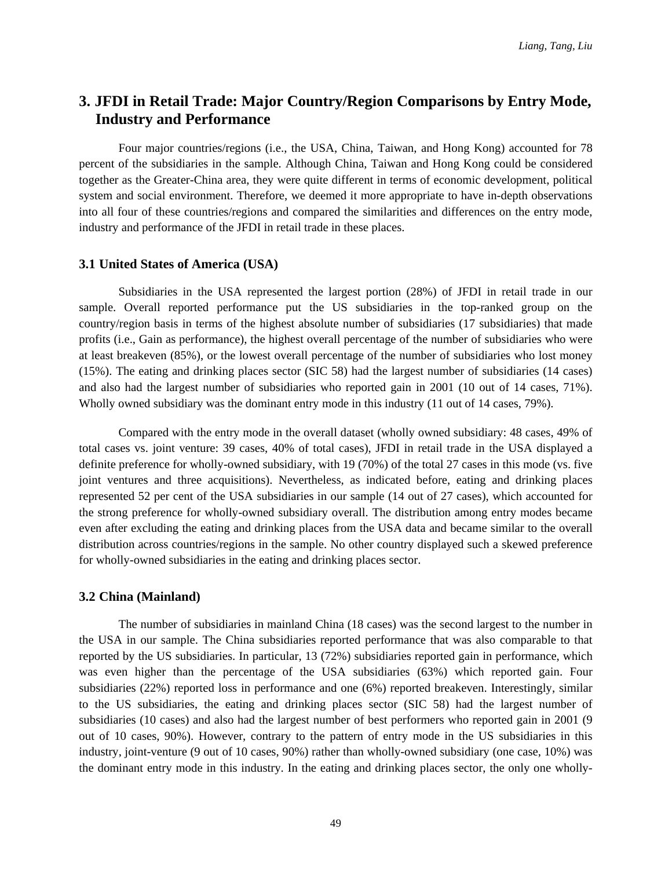# **3. JFDI in Retail Trade: Major Country/Region Comparisons by Entry Mode, Industry and Performance**

Four major countries/regions (i.e., the USA, China, Taiwan, and Hong Kong) accounted for 78 percent of the subsidiaries in the sample. Although China, Taiwan and Hong Kong could be considered together as the Greater-China area, they were quite different in terms of economic development, political system and social environment. Therefore, we deemed it more appropriate to have in-depth observations into all four of these countries/regions and compared the similarities and differences on the entry mode, industry and performance of the JFDI in retail trade in these places.

#### **3.1 United States of America (USA)**

Subsidiaries in the USA represented the largest portion (28%) of JFDI in retail trade in our sample. Overall reported performance put the US subsidiaries in the top-ranked group on the country/region basis in terms of the highest absolute number of subsidiaries (17 subsidiaries) that made profits (i.e., Gain as performance), the highest overall percentage of the number of subsidiaries who were at least breakeven (85%), or the lowest overall percentage of the number of subsidiaries who lost money (15%). The eating and drinking places sector (SIC 58) had the largest number of subsidiaries (14 cases) and also had the largest number of subsidiaries who reported gain in 2001 (10 out of 14 cases, 71%). Wholly owned subsidiary was the dominant entry mode in this industry (11 out of 14 cases, 79%).

Compared with the entry mode in the overall dataset (wholly owned subsidiary: 48 cases, 49% of total cases vs. joint venture: 39 cases, 40% of total cases), JFDI in retail trade in the USA displayed a definite preference for wholly-owned subsidiary, with 19 (70%) of the total 27 cases in this mode (vs. five joint ventures and three acquisitions). Nevertheless, as indicated before, eating and drinking places represented 52 per cent of the USA subsidiaries in our sample (14 out of 27 cases), which accounted for the strong preference for wholly-owned subsidiary overall. The distribution among entry modes became even after excluding the eating and drinking places from the USA data and became similar to the overall distribution across countries/regions in the sample. No other country displayed such a skewed preference for wholly-owned subsidiaries in the eating and drinking places sector.

### **3.2 China (Mainland)**

The number of subsidiaries in mainland China (18 cases) was the second largest to the number in the USA in our sample. The China subsidiaries reported performance that was also comparable to that reported by the US subsidiaries. In particular, 13 (72%) subsidiaries reported gain in performance, which was even higher than the percentage of the USA subsidiaries (63%) which reported gain. Four subsidiaries (22%) reported loss in performance and one (6%) reported breakeven. Interestingly, similar to the US subsidiaries, the eating and drinking places sector (SIC 58) had the largest number of subsidiaries (10 cases) and also had the largest number of best performers who reported gain in 2001 (9 out of 10 cases, 90%). However, contrary to the pattern of entry mode in the US subsidiaries in this industry, joint-venture (9 out of 10 cases, 90%) rather than wholly-owned subsidiary (one case, 10%) was the dominant entry mode in this industry. In the eating and drinking places sector, the only one wholly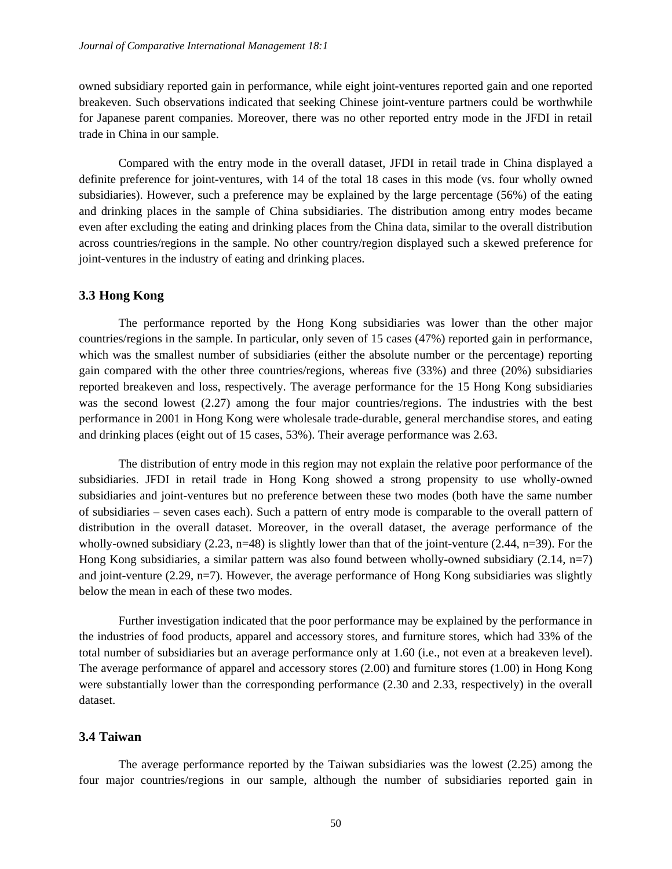owned subsidiary reported gain in performance, while eight joint-ventures reported gain and one reported breakeven. Such observations indicated that seeking Chinese joint-venture partners could be worthwhile for Japanese parent companies. Moreover, there was no other reported entry mode in the JFDI in retail trade in China in our sample.

Compared with the entry mode in the overall dataset, JFDI in retail trade in China displayed a definite preference for joint-ventures, with 14 of the total 18 cases in this mode (vs. four wholly owned subsidiaries). However, such a preference may be explained by the large percentage (56%) of the eating and drinking places in the sample of China subsidiaries. The distribution among entry modes became even after excluding the eating and drinking places from the China data, similar to the overall distribution across countries/regions in the sample. No other country/region displayed such a skewed preference for joint-ventures in the industry of eating and drinking places.

#### **3.3 Hong Kong**

The performance reported by the Hong Kong subsidiaries was lower than the other major countries/regions in the sample. In particular, only seven of 15 cases (47%) reported gain in performance, which was the smallest number of subsidiaries (either the absolute number or the percentage) reporting gain compared with the other three countries/regions, whereas five (33%) and three (20%) subsidiaries reported breakeven and loss, respectively. The average performance for the 15 Hong Kong subsidiaries was the second lowest (2.27) among the four major countries/regions. The industries with the best performance in 2001 in Hong Kong were wholesale trade-durable, general merchandise stores, and eating and drinking places (eight out of 15 cases, 53%). Their average performance was 2.63.

The distribution of entry mode in this region may not explain the relative poor performance of the subsidiaries. JFDI in retail trade in Hong Kong showed a strong propensity to use wholly-owned subsidiaries and joint-ventures but no preference between these two modes (both have the same number of subsidiaries – seven cases each). Such a pattern of entry mode is comparable to the overall pattern of distribution in the overall dataset. Moreover, in the overall dataset, the average performance of the wholly-owned subsidiary  $(2.23, n=48)$  is slightly lower than that of the joint-venture  $(2.44, n=39)$ . For the Hong Kong subsidiaries, a similar pattern was also found between wholly-owned subsidiary (2.14, n=7) and joint-venture (2.29, n=7). However, the average performance of Hong Kong subsidiaries was slightly below the mean in each of these two modes.

Further investigation indicated that the poor performance may be explained by the performance in the industries of food products, apparel and accessory stores, and furniture stores, which had 33% of the total number of subsidiaries but an average performance only at 1.60 (i.e., not even at a breakeven level). The average performance of apparel and accessory stores (2.00) and furniture stores (1.00) in Hong Kong were substantially lower than the corresponding performance (2.30 and 2.33, respectively) in the overall dataset.

#### **3.4 Taiwan**

The average performance reported by the Taiwan subsidiaries was the lowest (2.25) among the four major countries/regions in our sample, although the number of subsidiaries reported gain in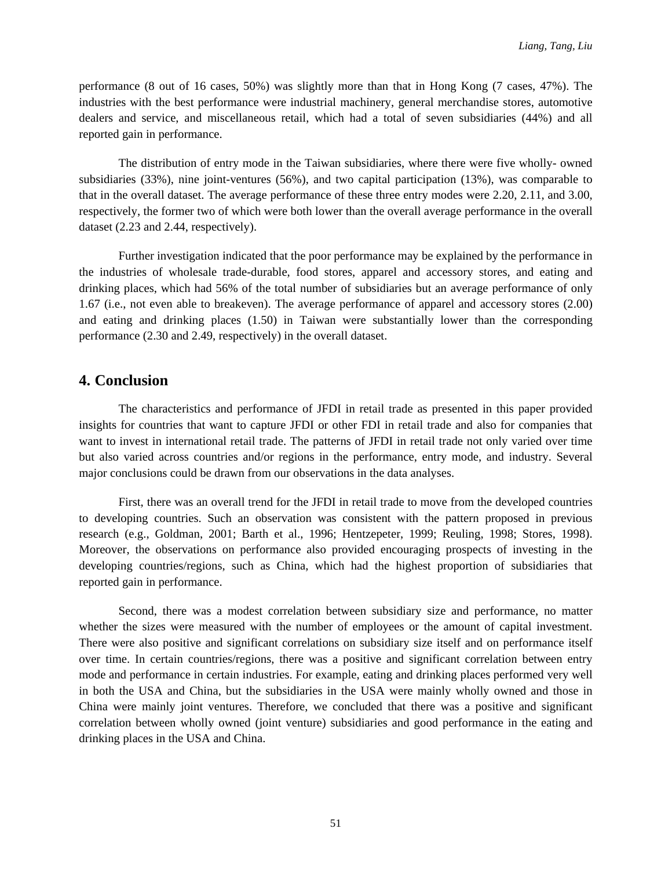performance (8 out of 16 cases, 50%) was slightly more than that in Hong Kong (7 cases, 47%). The industries with the best performance were industrial machinery, general merchandise stores, automotive dealers and service, and miscellaneous retail, which had a total of seven subsidiaries (44%) and all reported gain in performance.

The distribution of entry mode in the Taiwan subsidiaries, where there were five wholly- owned subsidiaries (33%), nine joint-ventures (56%), and two capital participation (13%), was comparable to that in the overall dataset. The average performance of these three entry modes were 2.20, 2.11, and 3.00, respectively, the former two of which were both lower than the overall average performance in the overall dataset (2.23 and 2.44, respectively).

Further investigation indicated that the poor performance may be explained by the performance in the industries of wholesale trade-durable, food stores, apparel and accessory stores, and eating and drinking places, which had 56% of the total number of subsidiaries but an average performance of only 1.67 (i.e., not even able to breakeven). The average performance of apparel and accessory stores (2.00) and eating and drinking places (1.50) in Taiwan were substantially lower than the corresponding performance (2.30 and 2.49, respectively) in the overall dataset.

## **4. Conclusion**

The characteristics and performance of JFDI in retail trade as presented in this paper provided insights for countries that want to capture JFDI or other FDI in retail trade and also for companies that want to invest in international retail trade. The patterns of JFDI in retail trade not only varied over time but also varied across countries and/or regions in the performance, entry mode, and industry. Several major conclusions could be drawn from our observations in the data analyses.

First, there was an overall trend for the JFDI in retail trade to move from the developed countries to developing countries. Such an observation was consistent with the pattern proposed in previous research (e.g., Goldman, 2001; Barth et al., 1996; Hentzepeter, 1999; Reuling, 1998; Stores, 1998). Moreover, the observations on performance also provided encouraging prospects of investing in the developing countries/regions, such as China, which had the highest proportion of subsidiaries that reported gain in performance.

Second, there was a modest correlation between subsidiary size and performance, no matter whether the sizes were measured with the number of employees or the amount of capital investment. There were also positive and significant correlations on subsidiary size itself and on performance itself over time. In certain countries/regions, there was a positive and significant correlation between entry mode and performance in certain industries. For example, eating and drinking places performed very well in both the USA and China, but the subsidiaries in the USA were mainly wholly owned and those in China were mainly joint ventures. Therefore, we concluded that there was a positive and significant correlation between wholly owned (joint venture) subsidiaries and good performance in the eating and drinking places in the USA and China.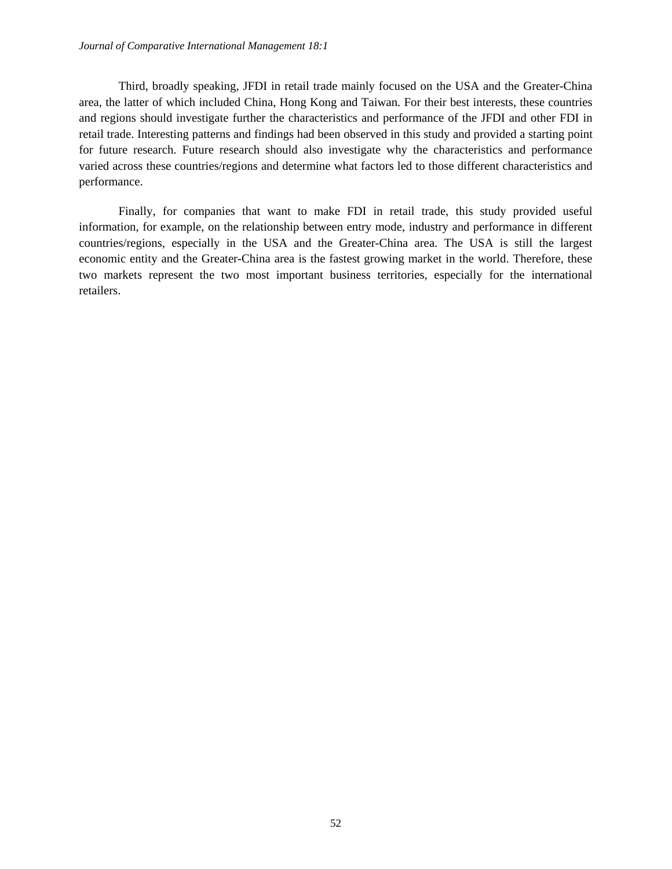Third, broadly speaking, JFDI in retail trade mainly focused on the USA and the Greater-China area, the latter of which included China, Hong Kong and Taiwan. For their best interests, these countries and regions should investigate further the characteristics and performance of the JFDI and other FDI in retail trade. Interesting patterns and findings had been observed in this study and provided a starting point for future research. Future research should also investigate why the characteristics and performance varied across these countries/regions and determine what factors led to those different characteristics and performance.

Finally, for companies that want to make FDI in retail trade, this study provided useful information, for example, on the relationship between entry mode, industry and performance in different countries/regions, especially in the USA and the Greater-China area. The USA is still the largest economic entity and the Greater-China area is the fastest growing market in the world. Therefore, these two markets represent the two most important business territories, especially for the international retailers.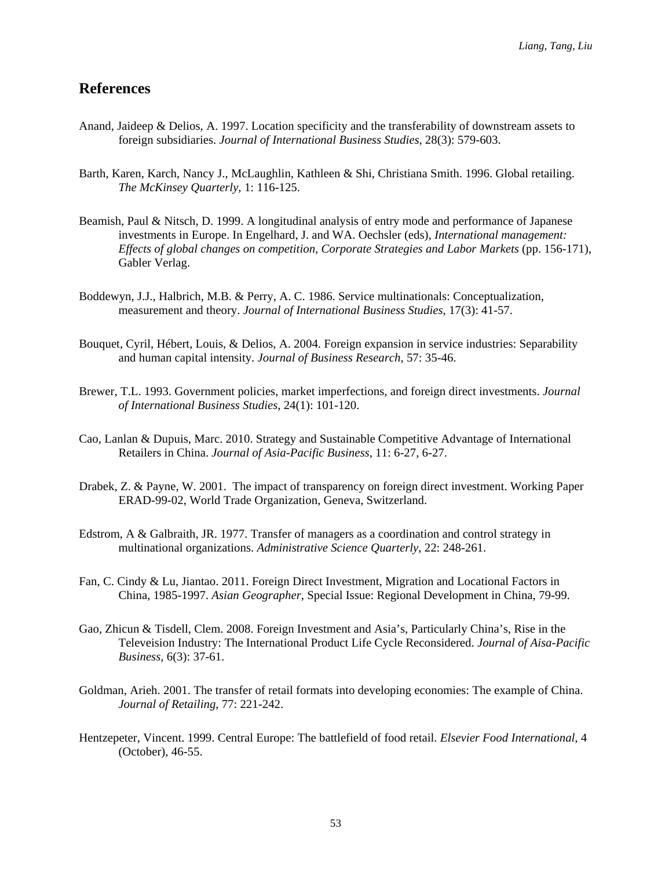### **References**

- Anand, Jaideep & Delios, A. 1997. Location specificity and the transferability of downstream assets to foreign subsidiaries. *Journal of International Business Studies*, 28(3): 579-603.
- Barth, Karen, Karch, Nancy J., McLaughlin, Kathleen & Shi, Christiana Smith. 1996. Global retailing. *The McKinsey Quarterly*, 1: 116-125.
- Beamish, Paul & Nitsch, D. 1999. A longitudinal analysis of entry mode and performance of Japanese investments in Europe. In Engelhard, J. and WA. Oechsler (eds), *International management: Effects of global changes on competition, Corporate Strategies and Labor Markets* (pp. 156-171), Gabler Verlag.
- Boddewyn, J.J., Halbrich, M.B. & Perry, A. C. 1986. Service multinationals: Conceptualization, measurement and theory. *Journal of International Business Studies*, 17(3): 41-57.
- Bouquet, Cyril, Hébert, Louis, & Delios, A. 2004. Foreign expansion in service industries: Separability and human capital intensity. *Journal of Business Research*, 57: 35-46.
- Brewer, T.L. 1993. Government policies, market imperfections, and foreign direct investments. *Journal of International Business Studies*, 24(1): 101-120.
- Cao, Lanlan & Dupuis, Marc. 2010. Strategy and Sustainable Competitive Advantage of International Retailers in China. *Journal of Asia-Pacific Business*, 11: 6-27, 6-27.
- Drabek, Z. & Payne, W. 2001. The impact of transparency on foreign direct investment. Working Paper ERAD-99-02, World Trade Organization, Geneva, Switzerland.
- Edstrom, A & Galbraith, JR. 1977. Transfer of managers as a coordination and control strategy in multinational organizations. *Administrative Science Quarterly*, 22: 248-261.
- Fan, C. Cindy & Lu, Jiantao. 2011. Foreign Direct Investment, Migration and Locational Factors in China, 1985-1997. *Asian Geographer*, Special Issue: Regional Development in China, 79-99.
- Gao, Zhicun & Tisdell, Clem. 2008. Foreign Investment and Asia's, Particularly China's, Rise in the Televeision Industry: The International Product Life Cycle Reconsidered. *Journal of Aisa-Pacific Business*, 6(3): 37-61.
- Goldman, Arieh. 2001. The transfer of retail formats into developing economies: The example of China. *Journal of Retailing*, 77: 221-242.
- Hentzepeter, Vincent. 1999. Central Europe: The battlefield of food retail. *Elsevier Food International*, 4 (October), 46-55.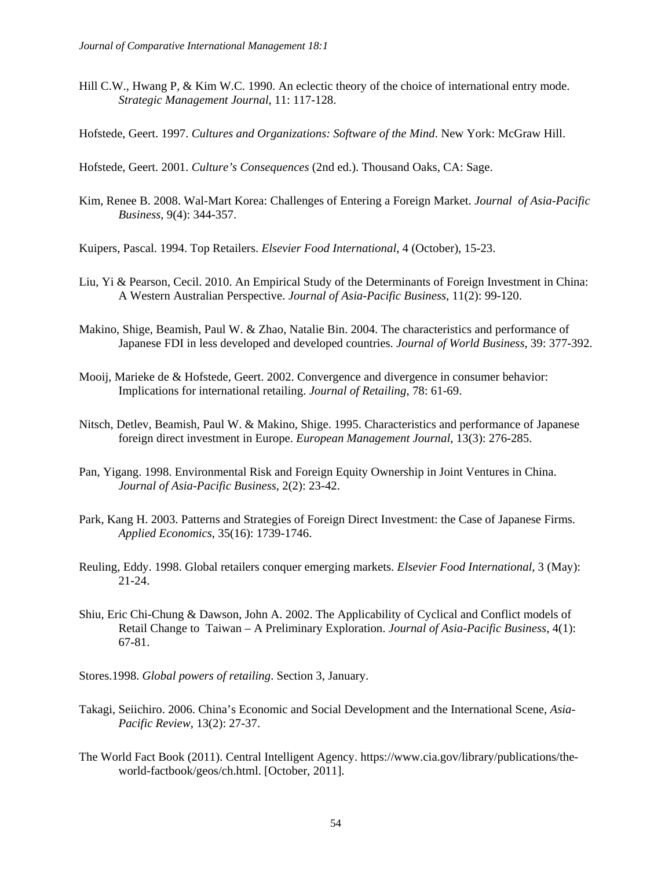- Hill C.W., Hwang P, & Kim W.C. 1990. An eclectic theory of the choice of international entry mode. *Strategic Management Journal*, 11: 117-128.
- Hofstede, Geert. 1997. *Cultures and Organizations: Software of the Mind*. New York: McGraw Hill.

Hofstede, Geert. 2001. *Culture's Consequences* (2nd ed.). Thousand Oaks, CA: Sage.

Kim, Renee B. 2008. Wal-Mart Korea: Challenges of Entering a Foreign Market. *Journal of Asia-Pacific Business*, 9(4): 344-357.

Kuipers, Pascal. 1994. Top Retailers. *Elsevier Food International*, 4 (October), 15-23.

- Liu, Yi & Pearson, Cecil. 2010. An Empirical Study of the Determinants of Foreign Investment in China: A Western Australian Perspective. *Journal of Asia-Pacific Business*, 11(2): 99-120.
- Makino, Shige, Beamish, Paul W. & Zhao, Natalie Bin. 2004. The characteristics and performance of Japanese FDI in less developed and developed countries. *Journal of World Business*, 39: 377-392.
- Mooij, Marieke de & Hofstede, Geert. 2002. Convergence and divergence in consumer behavior: Implications for international retailing. *Journal of Retailing*, 78: 61-69.
- Nitsch, Detlev, Beamish, Paul W. & Makino, Shige. 1995. Characteristics and performance of Japanese foreign direct investment in Europe. *European Management Journal*, 13(3): 276-285.
- Pan, Yigang. 1998. Environmental Risk and Foreign Equity Ownership in Joint Ventures in China. *Journal of Asia-Pacific Business*, 2(2): 23-42.
- Park, Kang H. 2003. Patterns and Strategies of Foreign Direct Investment: the Case of Japanese Firms. *Applied Economics*, 35(16): 1739-1746.
- Reuling, Eddy. 1998. Global retailers conquer emerging markets. *Elsevier Food International*, 3 (May): 21-24.
- Shiu, Eric Chi-Chung & Dawson, John A. 2002. The Applicability of Cyclical and Conflict models of Retail Change to Taiwan – A Preliminary Exploration. *Journal of Asia-Pacific Business*, 4(1): 67-81.
- Stores.1998. *Global powers of retailing*. Section 3, January.
- Takagi, Seiichiro. 2006. China's Economic and Social Development and the International Scene, *Asia-Pacific Review*, 13(2): 27-37.
- The World Fact Book (2011). Central Intelligent Agency. https://www.cia.gov/library/publications/theworld-factbook/geos/ch.html. [October, 2011].